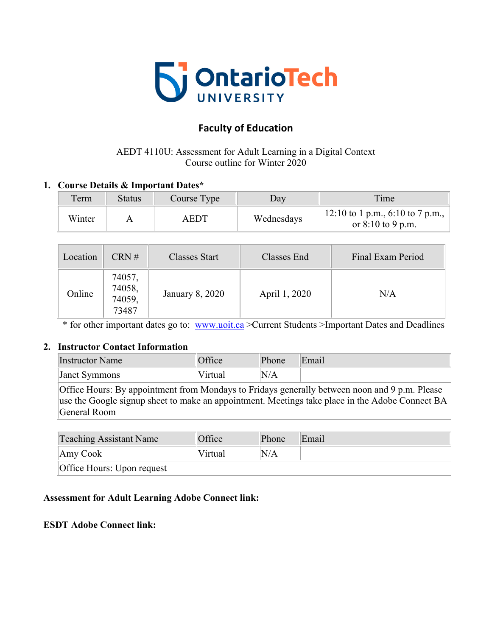

# **Faculty of Education**

# AEDT 4110U: Assessment for Adult Learning in a Digital Context Course outline for Winter 2020

### **1. Course Details & Important Dates\***

| Term   | <b>Status</b> | Course Type | Day        | Time                                                    |
|--------|---------------|-------------|------------|---------------------------------------------------------|
| Winter |               | <b>AEDT</b> | Wednesdays | 12:10 to 1 p.m., 6:10 to 7 p.m.,<br>or $8:10$ to 9 p.m. |

| Location | CRN#                                | <b>Classes Start</b> | Classes End   | Final Exam Period |
|----------|-------------------------------------|----------------------|---------------|-------------------|
| Online   | 74057,<br>74058,<br>74059,<br>73487 | January 8, 2020      | April 1, 2020 | N/A               |

\* for other important dates go to: www.uoit.ca >Current Students >Important Dates and Deadlines

#### **2. Instructor Contact Information**

| <b>Instructor Name</b>                                                                                                                                                                                                                                                                                             | Office  | Phone | Email |  |
|--------------------------------------------------------------------------------------------------------------------------------------------------------------------------------------------------------------------------------------------------------------------------------------------------------------------|---------|-------|-------|--|
| <b>Janet Symmons</b>                                                                                                                                                                                                                                                                                               | Virtual | 'N/A  |       |  |
| Office Hours: By appointment from Mondays to Fridays generally between noon and 9 p.m. Please<br>$\begin{bmatrix} 1 & 0 & 1 \end{bmatrix}$ $\begin{bmatrix} 1 & 1 & 1 \end{bmatrix}$ $\begin{bmatrix} 1 & 1 & 1 \end{bmatrix}$ $\begin{bmatrix} 1 & 1 & 1 \end{bmatrix}$ $\begin{bmatrix} 1 & 1 & 1 \end{bmatrix}$ |         |       |       |  |

use the Google signup sheet to make an appointment. Meetings take place in the Adobe Connect BA General Room

| <b>Teaching Assistant Name</b> | Office  | Phone | Email |  |
|--------------------------------|---------|-------|-------|--|
| Amy Cook                       | Virtual | N/A   |       |  |
| Office Hours: Upon request     |         |       |       |  |

#### **Assessment for Adult Learning Adobe Connect link:**

**ESDT Adobe Connect link:**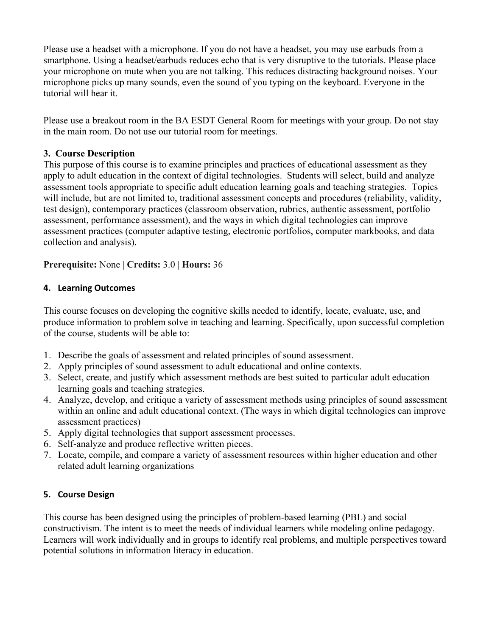Please use a headset with a microphone. If you do not have a headset, you may use earbuds from a smartphone. Using a headset/earbuds reduces echo that is very disruptive to the tutorials. Please place your microphone on mute when you are not talking. This reduces distracting background noises. Your microphone picks up many sounds, even the sound of you typing on the keyboard. Everyone in the tutorial will hear it.

Please use a breakout room in the BA ESDT General Room for meetings with your group. Do not stay in the main room. Do not use our tutorial room for meetings.

### **3. Course Description**

This purpose of this course is to examine principles and practices of educational assessment as they apply to adult education in the context of digital technologies. Students will select, build and analyze assessment tools appropriate to specific adult education learning goals and teaching strategies. Topics will include, but are not limited to, traditional assessment concepts and procedures (reliability, validity, test design), contemporary practices (classroom observation, rubrics, authentic assessment, portfolio assessment, performance assessment), and the ways in which digital technologies can improve assessment practices (computer adaptive testing, electronic portfolios, computer markbooks, and data collection and analysis).

**Prerequisite:** None | **Credits:** 3.0 | **Hours:** 36

### **4. Learning Outcomes**

This course focuses on developing the cognitive skills needed to identify, locate, evaluate, use, and produce information to problem solve in teaching and learning. Specifically, upon successful completion of the course, students will be able to:

- 1. Describe the goals of assessment and related principles of sound assessment.
- 2. Apply principles of sound assessment to adult educational and online contexts.
- 3. Select, create, and justify which assessment methods are best suited to particular adult education learning goals and teaching strategies.
- 4. Analyze, develop, and critique a variety of assessment methods using principles of sound assessment within an online and adult educational context. (The ways in which digital technologies can improve assessment practices)
- 5. Apply digital technologies that support assessment processes.
- 6. Self-analyze and produce reflective written pieces.
- 7. Locate, compile, and compare a variety of assessment resources within higher education and other related adult learning organizations

#### **5. Course Design**

This course has been designed using the principles of problem-based learning (PBL) and social constructivism. The intent is to meet the needs of individual learners while modeling online pedagogy. Learners will work individually and in groups to identify real problems, and multiple perspectives toward potential solutions in information literacy in education.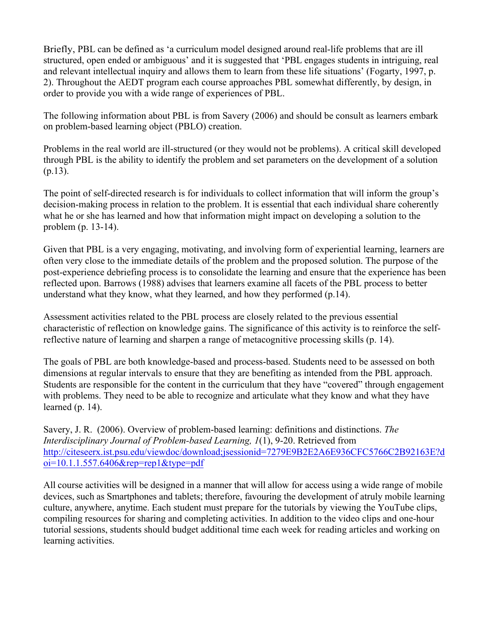Briefly, PBL can be defined as 'a curriculum model designed around real-life problems that are ill structured, open ended or ambiguous' and it is suggested that 'PBL engages students in intriguing, real and relevant intellectual inquiry and allows them to learn from these life situations' (Fogarty, 1997, p. 2). Throughout the AEDT program each course approaches PBL somewhat differently, by design, in order to provide you with a wide range of experiences of PBL.

The following information about PBL is from Savery (2006) and should be consult as learners embark on problem-based learning object (PBLO) creation.

Problems in the real world are ill-structured (or they would not be problems). A critical skill developed through PBL is the ability to identify the problem and set parameters on the development of a solution (p.13).

The point of self-directed research is for individuals to collect information that will inform the group's decision-making process in relation to the problem. It is essential that each individual share coherently what he or she has learned and how that information might impact on developing a solution to the problem (p. 13-14).

Given that PBL is a very engaging, motivating, and involving form of experiential learning, learners are often very close to the immediate details of the problem and the proposed solution. The purpose of the post-experience debriefing process is to consolidate the learning and ensure that the experience has been reflected upon. Barrows (1988) advises that learners examine all facets of the PBL process to better understand what they know, what they learned, and how they performed (p.14).

Assessment activities related to the PBL process are closely related to the previous essential characteristic of reflection on knowledge gains. The significance of this activity is to reinforce the selfreflective nature of learning and sharpen a range of metacognitive processing skills (p. 14).

The goals of PBL are both knowledge-based and process-based. Students need to be assessed on both dimensions at regular intervals to ensure that they are benefiting as intended from the PBL approach. Students are responsible for the content in the curriculum that they have "covered" through engagement with problems. They need to be able to recognize and articulate what they know and what they have learned (p. 14).

Savery, J. R. (2006). Overview of problem-based learning: definitions and distinctions. *The Interdisciplinary Journal of Problem-based Learning, 1*(1), 9-20. Retrieved from http://citeseerx.ist.psu.edu/viewdoc/download;jsessionid=7279E9B2E2A6E936CFC5766C2B92163E?d  $oi=10.1.1.557.6406$ &rep=rep1&type=pdf

All course activities will be designed in a manner that will allow for access using a wide range of mobile devices, such as Smartphones and tablets; therefore, favouring the development of atruly mobile learning culture, anywhere, anytime. Each student must prepare for the tutorials by viewing the YouTube clips, compiling resources for sharing and completing activities. In addition to the video clips and one-hour tutorial sessions, students should budget additional time each week for reading articles and working on learning activities.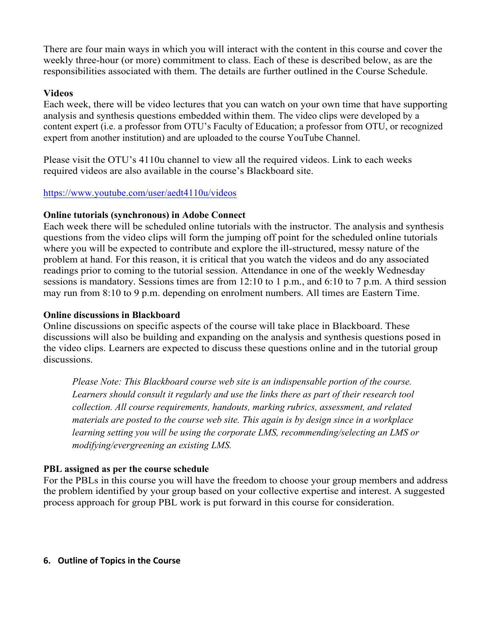There are four main ways in which you will interact with the content in this course and cover the weekly three-hour (or more) commitment to class. Each of these is described below, as are the responsibilities associated with them. The details are further outlined in the Course Schedule.

#### **Videos**

Each week, there will be video lectures that you can watch on your own time that have supporting analysis and synthesis questions embedded within them. The video clips were developed by a content expert (i.e. a professor from OTU's Faculty of Education; a professor from OTU, or recognized expert from another institution) and are uploaded to the course YouTube Channel.

Please visit the OTU's 4110u channel to view all the required videos. Link to each weeks required videos are also available in the course's Blackboard site.

#### https://www.youtube.com/user/aedt4110u/videos

#### **Online tutorials (synchronous) in Adobe Connect**

Each week there will be scheduled online tutorials with the instructor. The analysis and synthesis questions from the video clips will form the jumping off point for the scheduled online tutorials where you will be expected to contribute and explore the ill-structured, messy nature of the problem at hand. For this reason, it is critical that you watch the videos and do any associated readings prior to coming to the tutorial session. Attendance in one of the weekly Wednesday sessions is mandatory. Sessions times are from 12:10 to 1 p.m., and 6:10 to 7 p.m. A third session may run from 8:10 to 9 p.m. depending on enrolment numbers. All times are Eastern Time.

#### **Online discussions in Blackboard**

Online discussions on specific aspects of the course will take place in Blackboard. These discussions will also be building and expanding on the analysis and synthesis questions posed in the video clips. Learners are expected to discuss these questions online and in the tutorial group discussions.

*Please Note: This Blackboard course web site is an indispensable portion of the course. Learners should consult it regularly and use the links there as part of their research tool collection. All course requirements, handouts, marking rubrics, assessment, and related materials are posted to the course web site. This again is by design since in a workplace learning setting you will be using the corporate LMS, recommending/selecting an LMS or modifying/evergreening an existing LMS.*

#### **PBL assigned as per the course schedule**

For the PBLs in this course you will have the freedom to choose your group members and address the problem identified by your group based on your collective expertise and interest. A suggested process approach for group PBL work is put forward in this course for consideration.

#### **6.** Outline of Topics in the Course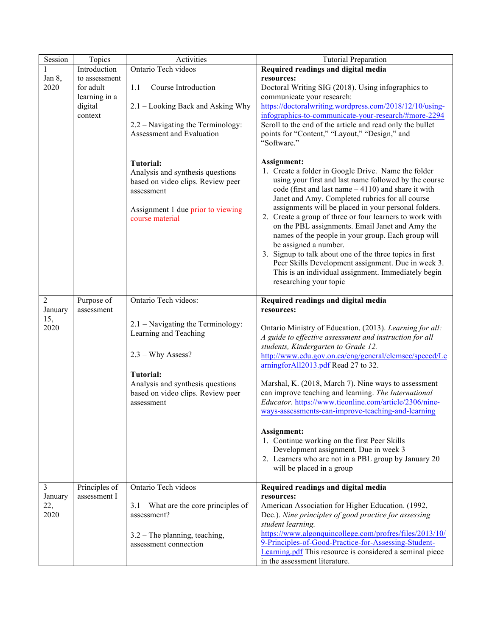| Session        | Topics        | Activities                                           | <b>Tutorial Preparation</b>                                                                                         |
|----------------|---------------|------------------------------------------------------|---------------------------------------------------------------------------------------------------------------------|
| 1              | Introduction  | Ontario Tech videos                                  | Required readings and digital media                                                                                 |
| Jan 8,         | to assessment |                                                      | resources:                                                                                                          |
| 2020           | for adult     | $1.1$ – Course Introduction                          | Doctoral Writing SIG (2018). Using infographics to                                                                  |
|                | learning in a |                                                      | communicate your research:                                                                                          |
|                | digital       | 2.1 – Looking Back and Asking Why                    | https://doctoralwriting.wordpress.com/2018/12/10/using-                                                             |
|                | context       | 2.2 – Navigating the Terminology:                    | infographics-to-communicate-your-research/#more-2294<br>Scroll to the end of the article and read only the bullet   |
|                |               | Assessment and Evaluation                            | points for "Content," "Layout," "Design," and                                                                       |
|                |               |                                                      | "Software."                                                                                                         |
|                |               |                                                      |                                                                                                                     |
|                |               | Tutorial:                                            | Assignment:                                                                                                         |
|                |               | Analysis and synthesis questions                     | 1. Create a folder in Google Drive. Name the folder                                                                 |
|                |               | based on video clips. Review peer                    | using your first and last name followed by the course                                                               |
|                |               | assessment                                           | code (first and last name $-4110$ ) and share it with                                                               |
|                |               |                                                      | Janet and Amy. Completed rubrics for all course<br>assignments will be placed in your personal folders.             |
|                |               | Assignment 1 due prior to viewing<br>course material | 2. Create a group of three or four learners to work with                                                            |
|                |               |                                                      | on the PBL assignments. Email Janet and Amy the                                                                     |
|                |               |                                                      | names of the people in your group. Each group will                                                                  |
|                |               |                                                      | be assigned a number.                                                                                               |
|                |               |                                                      | 3. Signup to talk about one of the three topics in first                                                            |
|                |               |                                                      | Peer Skills Development assignment. Due in week 3.<br>This is an individual assignment. Immediately begin           |
|                |               |                                                      | researching your topic                                                                                              |
|                |               |                                                      |                                                                                                                     |
| $\overline{2}$ | Purpose of    | Ontario Tech videos:                                 | Required readings and digital media                                                                                 |
| January        | assessment    |                                                      | resources:                                                                                                          |
| 15,            |               | 2.1 – Navigating the Terminology:                    |                                                                                                                     |
| 2020           |               | Learning and Teaching                                | Ontario Ministry of Education. (2013). Learning for all:<br>A guide to effective assessment and instruction for all |
|                |               |                                                      | students, Kindergarten to Grade 12.                                                                                 |
|                |               | $2.3 - Why Assess?$                                  | http://www.edu.gov.on.ca/eng/general/elemsec/speced/Le                                                              |
|                |               |                                                      | arningforAll2013.pdf Read 27 to 32.                                                                                 |
|                |               | <b>Tutorial:</b>                                     |                                                                                                                     |
|                |               | Analysis and synthesis questions                     | Marshal, K. (2018, March 7). Nine ways to assessment                                                                |
|                |               | based on video clips. Review peer                    | can improve teaching and learning. The International                                                                |
|                |               | assessment                                           | Educator. https://www.tieonline.com/article/2306/nine-<br>ways-assessments-can-improve-teaching-and-learning        |
|                |               |                                                      |                                                                                                                     |
|                |               |                                                      | Assignment:                                                                                                         |
|                |               |                                                      | 1. Continue working on the first Peer Skills                                                                        |
|                |               |                                                      | Development assignment. Due in week 3                                                                               |
|                |               |                                                      | 2. Learners who are not in a PBL group by January 20                                                                |
|                |               |                                                      | will be placed in a group                                                                                           |
| $\overline{3}$ | Principles of | Ontario Tech videos                                  | Required readings and digital media                                                                                 |
| January        | assessment I  |                                                      | resources:                                                                                                          |
| 22,            |               | $3.1$ – What are the core principles of              | American Association for Higher Education. (1992,                                                                   |
| 2020           |               | assessment?                                          | Dec.). Nine principles of good practice for assessing                                                               |
|                |               |                                                      | student learning.                                                                                                   |
|                |               | $3.2$ – The planning, teaching,                      | https://www.algonquincollege.com/profres/files/2013/10/                                                             |
|                |               | assessment connection                                | 9-Principles-of-Good-Practice-for-Assessing-Student-                                                                |
|                |               |                                                      | Learning.pdf This resource is considered a seminal piece<br>in the assessment literature.                           |
|                |               |                                                      |                                                                                                                     |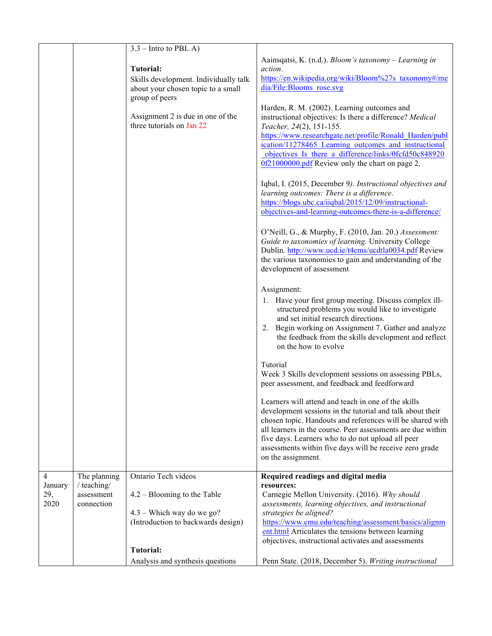|                        |                                         | $3.3$ – Intro to PBL A)                                                                            |                                                                                                                                                                                                                                                                                                                                                                                    |
|------------------------|-----------------------------------------|----------------------------------------------------------------------------------------------------|------------------------------------------------------------------------------------------------------------------------------------------------------------------------------------------------------------------------------------------------------------------------------------------------------------------------------------------------------------------------------------|
|                        |                                         | <b>Tutorial:</b>                                                                                   | Aainsqatsi, K. (n.d.). Bloom's taxonomy - Learning in                                                                                                                                                                                                                                                                                                                              |
|                        |                                         | Skills development. Individually talk<br>about your chosen topic to a small<br>group of peers      | action.<br>https://en.wikipedia.org/wiki/Bloom%27s taxonomy#/me<br>dia/File:Blooms rose.svg                                                                                                                                                                                                                                                                                        |
|                        |                                         | Assignment 2 is due in one of the<br>three tutorials on Jan 22                                     | Harden, R. M. (2002). Learning outcomes and<br>instructional objectives: Is there a difference? Medical<br>Teacher, 24(2), 151-155.<br>https://www.researchgate.net/profile/Ronald Harden/publ<br>ication/11278465 Learning outcomes and instructional<br>objectives Is there a difference/links/0fcfd50c848920<br>0f21000000.pdf Review only the chart on page 2.                 |
|                        |                                         |                                                                                                    | Iqbal, I. (2015, December 9). Instructional objectives and<br>learning outcomes: There is a difference.<br>https://blogs.ubc.ca/iiqbal/2015/12/09/instructional-<br>objectives-and-learning-outcomes-there-is-a-difference/                                                                                                                                                        |
|                        |                                         |                                                                                                    | O'Neill, G., & Murphy, F. (2010, Jan. 20.) Assessment:<br>Guide to taxonomies of learning. University College<br>Dublin. http://www.ucd.ie/t4cms/ucdtla0034.pdf Review<br>the various taxonomies to gain and understanding of the<br>development of assessment                                                                                                                     |
|                        |                                         |                                                                                                    | Assignment:<br>1. Have your first group meeting. Discuss complex ill-<br>structured problems you would like to investigate<br>and set initial research directions.<br>2. Begin working on Assignment 7. Gather and analyze<br>the feedback from the skills development and reflect<br>on the how to evolve                                                                         |
|                        |                                         |                                                                                                    | Tutorial<br>Week 3 Skills development sessions on assessing PBLs,<br>peer assessment, and feedback and feedforward                                                                                                                                                                                                                                                                 |
|                        |                                         |                                                                                                    | Learners will attend and teach in one of the skills<br>development sessions in the tutorial and talk about their<br>chosen topic. Handouts and references will be shared with<br>all learners in the course. Peer assessments are due within<br>five days. Learners who to do not upload all peer<br>assessments within five days will be receive zero grade<br>on the assignment. |
| 4                      | The planning                            | Ontario Tech videos                                                                                | Required readings and digital media                                                                                                                                                                                                                                                                                                                                                |
| January<br>29,<br>2020 | / teaching/<br>assessment<br>connection | $4.2 -$ Blooming to the Table<br>$4.3$ – Which way do we go?<br>(Introduction to backwards design) | resources:<br>Carnegie Mellon University. (2016). Why should<br>assessments, learning objectives, and instructional<br>strategies be aligned?<br>https://www.cmu.edu/teaching/assessment/basics/alignm<br>ent.html Articulates the tensions between learning                                                                                                                       |
|                        |                                         | Tutorial:                                                                                          | objectives, instructional activates and assessments                                                                                                                                                                                                                                                                                                                                |
|                        |                                         | Analysis and synthesis questions                                                                   | Penn State. (2018, December 5). Writing instructional                                                                                                                                                                                                                                                                                                                              |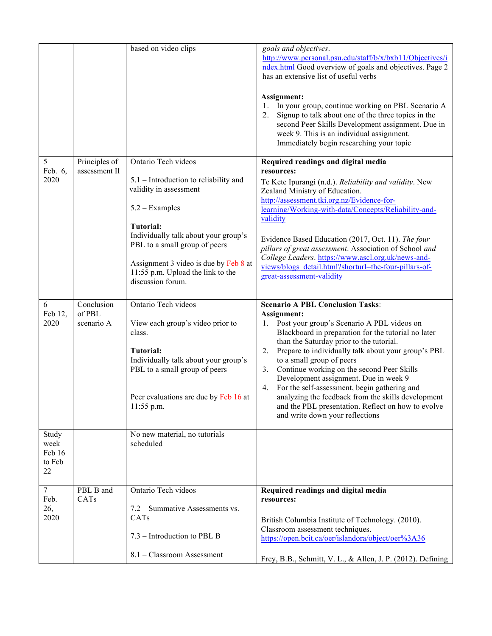|                                         |                                    | based on video clips                                                                                                                                                                                                                                                                                       | goals and objectives.<br>http://www.personal.psu.edu/staff/b/x/bxb11/Objectives/i<br>ndex.html Good overview of goals and objectives. Page 2<br>has an extensive list of useful verbs<br>Assignment:<br>In your group, continue working on PBL Scenario A<br>1.<br>Signup to talk about one of the three topics in the<br>2.<br>second Peer Skills Development assignment. Due in<br>week 9. This is an individual assignment.<br>Immediately begin researching your topic                                                                                                                             |
|-----------------------------------------|------------------------------------|------------------------------------------------------------------------------------------------------------------------------------------------------------------------------------------------------------------------------------------------------------------------------------------------------------|--------------------------------------------------------------------------------------------------------------------------------------------------------------------------------------------------------------------------------------------------------------------------------------------------------------------------------------------------------------------------------------------------------------------------------------------------------------------------------------------------------------------------------------------------------------------------------------------------------|
| 5<br>Feb. 6,<br>2020                    | Principles of<br>assessment II     | Ontario Tech videos<br>5.1 - Introduction to reliability and<br>validity in assessment<br>$5.2 - Examples$<br><b>Tutorial:</b><br>Individually talk about your group's<br>PBL to a small group of peers<br>Assignment 3 video is due by Feb 8 at<br>11:55 p.m. Upload the link to the<br>discussion forum. | Required readings and digital media<br>resources:<br>Te Kete Ipurangi (n.d.). Reliability and validity. New<br>Zealand Ministry of Education.<br>http://assessment.tki.org.nz/Evidence-for-<br>learning/Working-with-data/Concepts/Reliability-and-<br>validity<br>Evidence Based Education (2017, Oct. 11). The four<br>pillars of great assessment. Association of School and<br>College Leaders. https://www.ascl.org.uk/news-and-<br>views/blogs_detail.html?shorturl=the-four-pillars-of-<br>great-assessment-validity                                                                            |
| 6<br>Feb 12,<br>2020                    | Conclusion<br>of PBL<br>scenario A | Ontario Tech videos<br>View each group's video prior to<br>class.<br><b>Tutorial:</b><br>Individually talk about your group's<br>PBL to a small group of peers<br>Peer evaluations are due by Feb 16 at<br>11:55 p.m.                                                                                      | <b>Scenario A PBL Conclusion Tasks:</b><br>Assignment:<br>1. Post your group's Scenario A PBL videos on<br>Blackboard in preparation for the tutorial no later<br>than the Saturday prior to the tutorial.<br>Prepare to individually talk about your group's PBL<br>2.<br>to a small group of peers<br>Continue working on the second Peer Skills<br>3.<br>Development assignment. Due in week 9<br>For the self-assessment, begin gathering and<br>4.<br>analyzing the feedback from the skills development<br>and the PBL presentation. Reflect on how to evolve<br>and write down your reflections |
| Study<br>week<br>Feb 16<br>to Feb<br>22 |                                    | No new material, no tutorials<br>scheduled                                                                                                                                                                                                                                                                 |                                                                                                                                                                                                                                                                                                                                                                                                                                                                                                                                                                                                        |
| $\tau$<br>Feb.<br>26,<br>2020           | PBL B and<br>CATs                  | Ontario Tech videos<br>7.2 – Summative Assessments vs.<br>CATs<br>7.3 – Introduction to PBL B<br>8.1 - Classroom Assessment                                                                                                                                                                                | Required readings and digital media<br>resources:<br>British Columbia Institute of Technology. (2010).<br>Classroom assessment techniques.<br>https://open.bcit.ca/oer/islandora/object/oer%3A36<br>Frey, B.B., Schmitt, V. L., & Allen, J. P. (2012). Defining                                                                                                                                                                                                                                                                                                                                        |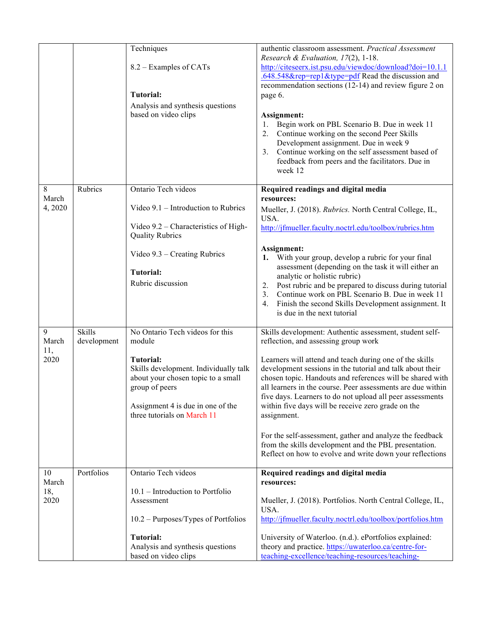|                              | Techniques                                                     | authentic classroom assessment. Practical Assessment                                                                     |
|------------------------------|----------------------------------------------------------------|--------------------------------------------------------------------------------------------------------------------------|
|                              | 8.2 – Examples of CATs                                         | Research & Evaluation, 17(2), 1-18.<br>http://citeseerx.ist.psu.edu/viewdoc/download?doi=10.1.1                          |
|                              |                                                                | .648.548&rep=rep1&type=pdf Read the discussion and                                                                       |
|                              |                                                                | recommendation sections (12-14) and review figure 2 on                                                                   |
|                              | <b>Tutorial:</b>                                               | page 6.                                                                                                                  |
|                              | Analysis and synthesis questions                               |                                                                                                                          |
|                              | based on video clips                                           | Assignment:<br>Begin work on PBL Scenario B. Due in week 11<br>1.                                                        |
|                              |                                                                | Continue working on the second Peer Skills<br>2.                                                                         |
|                              |                                                                | Development assignment. Due in week 9                                                                                    |
|                              |                                                                | Continue working on the self assessment based of<br>3.                                                                   |
|                              |                                                                | feedback from peers and the facilitators. Due in<br>week 12                                                              |
| Rubrics                      | Ontario Tech videos                                            | Required readings and digital media                                                                                      |
|                              |                                                                | resources:                                                                                                               |
|                              | Video 9.1 - Introduction to Rubrics                            | Mueller, J. (2018). Rubrics. North Central College, IL,<br>USA.                                                          |
|                              | Video 9.2 – Characteristics of High-<br><b>Quality Rubrics</b> | http://jfmueller.faculty.noctrl.edu/toolbox/rubrics.htm                                                                  |
|                              | Video $9.3$ – Creating Rubrics                                 | Assignment:<br>With your group, develop a rubric for your final<br>1.                                                    |
|                              | <b>Tutorial:</b>                                               | assessment (depending on the task it will either an<br>analytic or holistic rubric)                                      |
|                              | Rubric discussion                                              | Post rubric and be prepared to discuss during tutorial<br>2.                                                             |
|                              |                                                                | Continue work on PBL Scenario B. Due in week 11<br>3.                                                                    |
|                              |                                                                | Finish the second Skills Development assignment. It<br>4.<br>is due in the next tutorial                                 |
|                              |                                                                |                                                                                                                          |
| <b>Skills</b><br>development | No Ontario Tech videos for this<br>module                      | Skills development: Authentic assessment, student self-<br>reflection, and assessing group work                          |
|                              | <b>Tutorial:</b>                                               | Learners will attend and teach during one of the skills                                                                  |
|                              | Skills development. Individually talk                          | development sessions in the tutorial and talk about their                                                                |
|                              | about your chosen topic to a small<br>group of peers           | chosen topic. Handouts and references will be shared with<br>all learners in the course. Peer assessments are due within |
|                              |                                                                | five days. Learners to do not upload all peer assessments                                                                |
|                              | Assignment 4 is due in one of the                              | within five days will be receive zero grade on the                                                                       |
|                              | three tutorials on March 11                                    | assignment.                                                                                                              |
|                              |                                                                | For the self-assessment, gather and analyze the feedback                                                                 |
|                              |                                                                | from the skills development and the PBL presentation.                                                                    |
|                              |                                                                | Reflect on how to evolve and write down your reflections                                                                 |
| Portfolios                   | Ontario Tech videos                                            | Required readings and digital media                                                                                      |
|                              | 10.1 – Introduction to Portfolio                               | resources:                                                                                                               |
|                              | Assessment                                                     | Mueller, J. (2018). Portfolios. North Central College, IL,                                                               |
|                              |                                                                | USA.                                                                                                                     |
|                              | $10.2 -$ Purposes/Types of Portfolios                          | http://jfmueller.faculty.noctrl.edu/toolbox/portfolios.htm                                                               |

8 March 4, 2020

9 March 11, 2020

10 March 18, 2020

> **Tutorial:** Analysis and synthesis questions based on video clips University of Waterloo. (n.d.). ePortfolios explained: theory and practice. https://uwaterloo.ca/centre-forteaching-excellence/teaching-resources/teaching-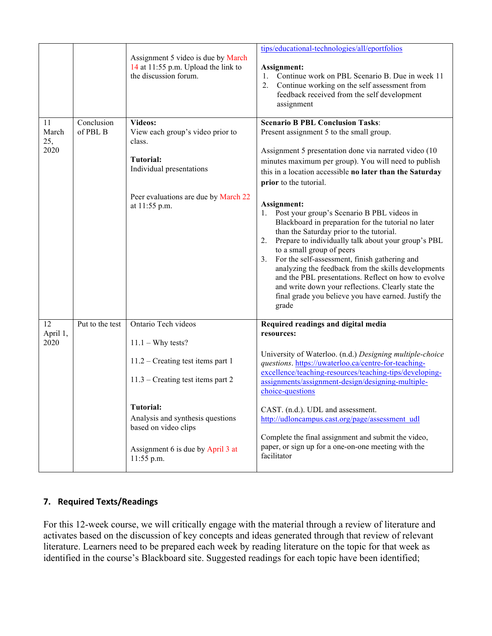|                            |                        | Assignment 5 video is due by March<br>14 at 11:55 p.m. Upload the link to<br>the discussion forum.                                                                                                                                                            | tips/educational-technologies/all/eportfolios<br>Assignment:<br>Continue work on PBL Scenario B. Due in week 11<br>1.<br>2.<br>Continue working on the self assessment from<br>feedback received from the self development<br>assignment                                                                                                                                                                                                                                                                                                                                                                                                                                                                                                                                                                                                            |
|----------------------------|------------------------|---------------------------------------------------------------------------------------------------------------------------------------------------------------------------------------------------------------------------------------------------------------|-----------------------------------------------------------------------------------------------------------------------------------------------------------------------------------------------------------------------------------------------------------------------------------------------------------------------------------------------------------------------------------------------------------------------------------------------------------------------------------------------------------------------------------------------------------------------------------------------------------------------------------------------------------------------------------------------------------------------------------------------------------------------------------------------------------------------------------------------------|
| 11<br>March<br>25,<br>2020 | Conclusion<br>of PBL B | Videos:<br>View each group's video prior to<br>class.<br>Tutorial:<br>Individual presentations<br>Peer evaluations are due by March 22<br>at 11:55 p.m.                                                                                                       | <b>Scenario B PBL Conclusion Tasks:</b><br>Present assignment 5 to the small group.<br>Assignment 5 presentation done via narrated video (10<br>minutes maximum per group). You will need to publish<br>this in a location accessible no later than the Saturday<br>prior to the tutorial.<br>Assignment:<br>1. Post your group's Scenario B PBL videos in<br>Blackboard in preparation for the tutorial no later<br>than the Saturday prior to the tutorial.<br>Prepare to individually talk about your group's PBL<br>2.<br>to a small group of peers<br>For the self-assessment, finish gathering and<br>3.<br>analyzing the feedback from the skills developments<br>and the PBL presentations. Reflect on how to evolve<br>and write down your reflections. Clearly state the<br>final grade you believe you have earned. Justify the<br>grade |
| 12<br>April 1,<br>2020     | Put to the test        | Ontario Tech videos<br>$11.1 - Why tests?$<br>$11.2$ – Creating test items part 1<br>$11.3$ – Creating test items part 2<br><b>Tutorial:</b><br>Analysis and synthesis questions<br>based on video clips<br>Assignment 6 is due by April 3 at<br>$11:55$ p.m. | Required readings and digital media<br>resources:<br>University of Waterloo. (n.d.) Designing multiple-choice<br>questions. https://uwaterloo.ca/centre-for-teaching-<br>excellence/teaching-resources/teaching-tips/developing-<br>assignments/assignment-design/designing-multiple-<br>choice-questions<br>CAST. (n.d.). UDL and assessment.<br>http://udloncampus.cast.org/page/assessment_udl<br>Complete the final assignment and submit the video,<br>paper, or sign up for a one-on-one meeting with the<br>facilitator                                                                                                                                                                                                                                                                                                                      |

# **7. Required Texts/Readings**

For this 12-week course, we will critically engage with the material through a review of literature and activates based on the discussion of key concepts and ideas generated through that review of relevant literature. Learners need to be prepared each week by reading literature on the topic for that week as identified in the course's Blackboard site. Suggested readings for each topic have been identified;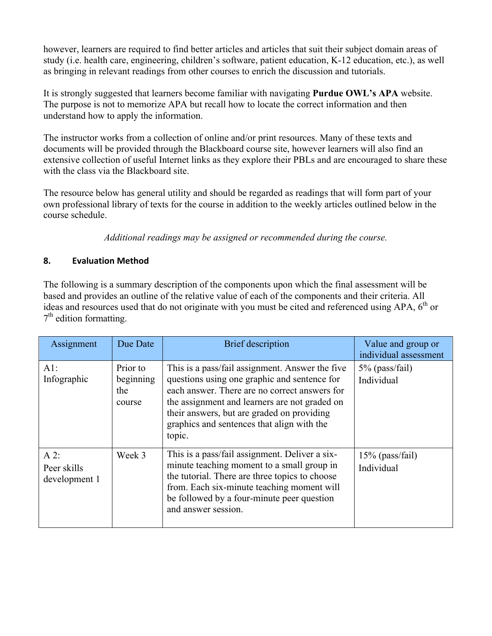however, learners are required to find better articles and articles that suit their subject domain areas of study (i.e. health care, engineering, children's software, patient education, K-12 education, etc.), as well as bringing in relevant readings from other courses to enrich the discussion and tutorials.

It is strongly suggested that learners become familiar with navigating **Purdue OWL's APA** website. The purpose is not to memorize APA but recall how to locate the correct information and then understand how to apply the information.

The instructor works from a collection of online and/or print resources. Many of these texts and documents will be provided through the Blackboard course site, however learners will also find an extensive collection of useful Internet links as they explore their PBLs and are encouraged to share these with the class via the Blackboard site.

The resource below has general utility and should be regarded as readings that will form part of your own professional library of texts for the course in addition to the weekly articles outlined below in the course schedule.

*Additional readings may be assigned or recommended during the course.*

# **8. Evaluation Method**

The following is a summary description of the components upon which the final assessment will be based and provides an outline of the relative value of each of the components and their criteria. All ideas and resources used that do not originate with you must be cited and referenced using APA, 6<sup>th</sup> or  $7<sup>th</sup>$  edition formatting.

| Assignment                             | Due Date                               | <b>Brief</b> description                                                                                                                                                                                                                                                                                | Value and group or<br>individual assessment |
|----------------------------------------|----------------------------------------|---------------------------------------------------------------------------------------------------------------------------------------------------------------------------------------------------------------------------------------------------------------------------------------------------------|---------------------------------------------|
| AI:<br>Infographic                     | Prior to<br>beginning<br>the<br>course | This is a pass/fail assignment. Answer the five<br>questions using one graphic and sentence for<br>each answer. There are no correct answers for<br>the assignment and learners are not graded on<br>their answers, but are graded on providing<br>graphics and sentences that align with the<br>topic. | $5\%$ (pass/fail)<br>Individual             |
| $A$ 2:<br>Peer skills<br>development 1 | Week 3                                 | This is a pass/fail assignment. Deliver a six-<br>minute teaching moment to a small group in<br>the tutorial. There are three topics to choose<br>from. Each six-minute teaching moment will<br>be followed by a four-minute peer question<br>and answer session.                                       | $15\%$ (pass/fail)<br>Individual            |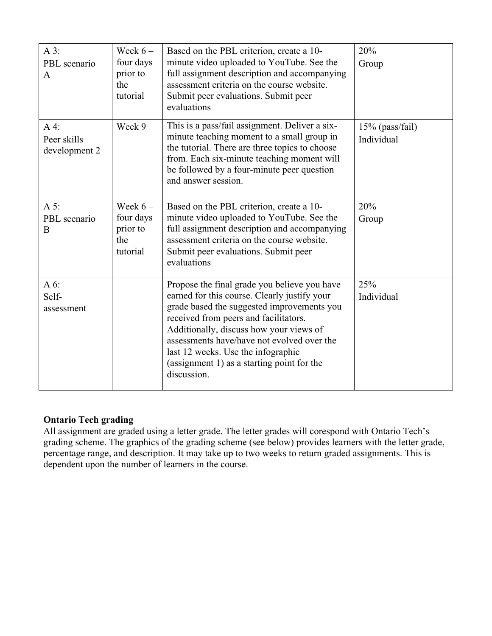| $A3$ :<br>PBL scenario<br>A            | Week $6-$<br>four days<br>prior to<br>the<br>tutorial | Based on the PBL criterion, create a 10-<br>minute video uploaded to YouTube. See the<br>full assignment description and accompanying<br>assessment criteria on the course website.<br>Submit peer evaluations. Submit peer<br>evaluations                                                                                                                                      | 20%<br>Group                  |
|----------------------------------------|-------------------------------------------------------|---------------------------------------------------------------------------------------------------------------------------------------------------------------------------------------------------------------------------------------------------------------------------------------------------------------------------------------------------------------------------------|-------------------------------|
| $A4$ :<br>Peer skills<br>development 2 | Week 9                                                | This is a pass/fail assignment. Deliver a six-<br>minute teaching moment to a small group in<br>the tutorial. There are three topics to choose<br>from. Each six-minute teaching moment will<br>be followed by a four-minute peer question<br>and answer session.                                                                                                               | 15% (pass/fail)<br>Individual |
| A 5:<br>PBL scenario<br>B              | Week $6-$<br>four days<br>prior to<br>the<br>tutorial | Based on the PBL criterion, create a 10-<br>minute video uploaded to YouTube. See the<br>full assignment description and accompanying<br>assessment criteria on the course website.<br>Submit peer evaluations. Submit peer<br>evaluations                                                                                                                                      | 20%<br>Group                  |
| A 6:<br>Self-<br>assessment            |                                                       | Propose the final grade you believe you have<br>earned for this course. Clearly justify your<br>grade based the suggested improvements you<br>received from peers and facilitators.<br>Additionally, discuss how your views of<br>assessments have/have not evolved over the<br>last 12 weeks. Use the infographic<br>(assignment 1) as a starting point for the<br>discussion. | 25%<br>Individual             |

# **Ontario Tech grading**

All assignment are graded using a letter grade. The letter grades will corespond with Ontario Tech's grading scheme. The graphics of the grading scheme (see below) provides learners with the letter grade, percentage range, and description. It may take up to two weeks to return graded assignments. This is dependent upon the number of learners in the course.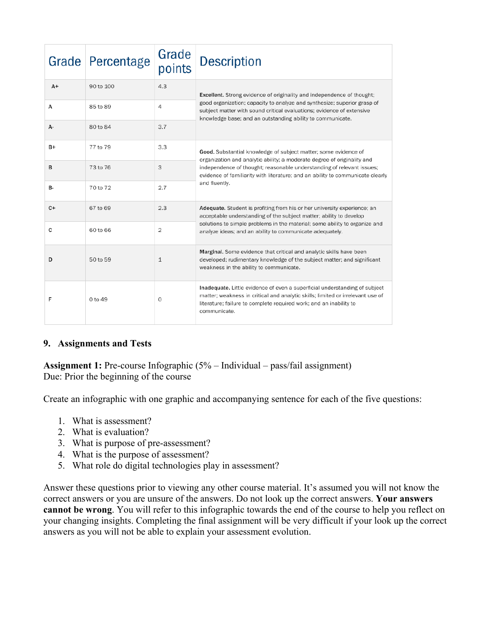| Grade     | Percentage | Grade<br>points | <b>Description</b>                                                                                                                                                                                                                                 |
|-----------|------------|-----------------|----------------------------------------------------------------------------------------------------------------------------------------------------------------------------------------------------------------------------------------------------|
| $A+$      | 90 to 100  | 4.3             | <b>Excellent.</b> Strong evidence of originality and independence of thought;                                                                                                                                                                      |
| А         | 85 to 89   | 4               | good organization; capacity to analyze and synthesize; superior grasp of<br>subject matter with sound critical evaluations; evidence of extensive<br>knowledge base; and an outstanding ability to communicate.                                    |
| А-        | 80 to 84   | 3.7             |                                                                                                                                                                                                                                                    |
| $B+$      | 77 to 79   | 3.3             | Good. Substantial knowledge of subject matter; some evidence of<br>organization and analytic ability; a moderate degree of originality and                                                                                                         |
| B         | 73 to 76   | 3               | independence of thought; reasonable understanding of relevant issues;<br>evidence of familiarity with literature; and an ability to communicate clearly                                                                                            |
| <b>B-</b> | 70 to 72   | 2.7             | and fluently.                                                                                                                                                                                                                                      |
| $C+$      | 67 to 69   | 2.3             | Adequate. Student is profiting from his or her university experience; an<br>acceptable understanding of the subject matter; ability to develop                                                                                                     |
| c         | 60 to 66   | 2               | solutions to simple problems in the material; some ability to organize and<br>analyze ideas; and an ability to communicate adequately.                                                                                                             |
| D         | 50 to 59   | $\mathbf{1}$    | Marginal. Some evidence that critical and analytic skills have been<br>developed; rudimentary knowledge of the subject matter; and significant<br>weakness in the ability to communicate.                                                          |
| F         | 0 to 49    | 0               | Inadequate. Little evidence of even a superficial understanding of subject<br>matter; weakness in critical and analytic skills; limited or irrelevant use of<br>literature; failure to complete required work; and an inability to<br>communicate. |

# **9. Assignments and Tests**

**Assignment 1:** Pre-course Infographic (5% – Individual – pass/fail assignment) Due: Prior the beginning of the course

Create an infographic with one graphic and accompanying sentence for each of the five questions:

- 1. What is assessment?
- 2. What is evaluation?
- 3. What is purpose of pre-assessment?
- 4. What is the purpose of assessment?
- 5. What role do digital technologies play in assessment?

Answer these questions prior to viewing any other course material. It's assumed you will not know the correct answers or you are unsure of the answers. Do not look up the correct answers. **Your answers cannot be wrong**. You will refer to this infographic towards the end of the course to help you reflect on your changing insights. Completing the final assignment will be very difficult if your look up the correct answers as you will not be able to explain your assessment evolution.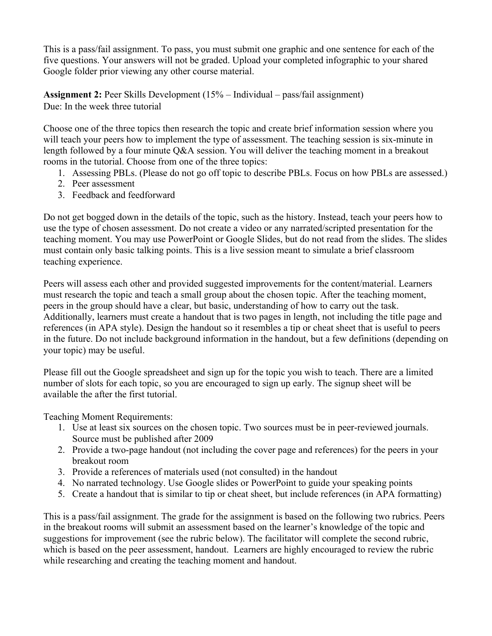This is a pass/fail assignment. To pass, you must submit one graphic and one sentence for each of the five questions. Your answers will not be graded. Upload your completed infographic to your shared Google folder prior viewing any other course material.

**Assignment 2:** Peer Skills Development (15% – Individual – pass/fail assignment) Due: In the week three tutorial

Choose one of the three topics then research the topic and create brief information session where you will teach your peers how to implement the type of assessment. The teaching session is six-minute in length followed by a four minute Q&A session. You will deliver the teaching moment in a breakout rooms in the tutorial. Choose from one of the three topics:

- 1. Assessing PBLs. (Please do not go off topic to describe PBLs. Focus on how PBLs are assessed.)
- 2. Peer assessment
- 3. Feedback and feedforward

Do not get bogged down in the details of the topic, such as the history. Instead, teach your peers how to use the type of chosen assessment. Do not create a video or any narrated/scripted presentation for the teaching moment. You may use PowerPoint or Google Slides, but do not read from the slides. The slides must contain only basic talking points. This is a live session meant to simulate a brief classroom teaching experience.

Peers will assess each other and provided suggested improvements for the content/material. Learners must research the topic and teach a small group about the chosen topic. After the teaching moment, peers in the group should have a clear, but basic, understanding of how to carry out the task. Additionally, learners must create a handout that is two pages in length, not including the title page and references (in APA style). Design the handout so it resembles a tip or cheat sheet that is useful to peers in the future. Do not include background information in the handout, but a few definitions (depending on your topic) may be useful.

Please fill out the Google spreadsheet and sign up for the topic you wish to teach. There are a limited number of slots for each topic, so you are encouraged to sign up early. The signup sheet will be available the after the first tutorial.

Teaching Moment Requirements:

- 1. Use at least six sources on the chosen topic. Two sources must be in peer-reviewed journals. Source must be published after 2009
- 2. Provide a two-page handout (not including the cover page and references) for the peers in your breakout room
- 3. Provide a references of materials used (not consulted) in the handout
- 4. No narrated technology. Use Google slides or PowerPoint to guide your speaking points
- 5. Create a handout that is similar to tip or cheat sheet, but include references (in APA formatting)

This is a pass/fail assignment. The grade for the assignment is based on the following two rubrics. Peers in the breakout rooms will submit an assessment based on the learner's knowledge of the topic and suggestions for improvement (see the rubric below). The facilitator will complete the second rubric, which is based on the peer assessment, handout. Learners are highly encouraged to review the rubric while researching and creating the teaching moment and handout.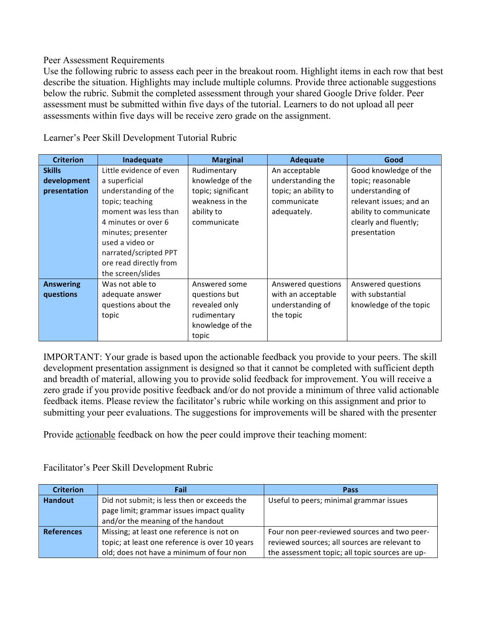#### Peer Assessment Requirements

Use the following rubric to assess each peer in the breakout room. Highlight items in each row that best describe the situation. Highlights may include multiple columns. Provide three actionable suggestions below the rubric. Submit the completed assessment through your shared Google Drive folder. Peer assessment must be submitted within five days of the tutorial. Learners to do not upload all peer assessments within five days will be receive zero grade on the assignment.

| <b>Criterion</b> | Inadequate              | <b>Marginal</b>    | <b>Adequate</b>      | Good                    |
|------------------|-------------------------|--------------------|----------------------|-------------------------|
| <b>Skills</b>    | Little evidence of even | Rudimentary        | An acceptable        | Good knowledge of the   |
| development      | a superficial           | knowledge of the   | understanding the    | topic; reasonable       |
| presentation     | understanding of the    | topic; significant | topic; an ability to | understanding of        |
|                  | topic; teaching         | weakness in the    | communicate          | relevant issues; and an |
|                  | moment was less than    | ability to         | adequately.          | ability to communicate  |
|                  | 4 minutes or over 6     | communicate        |                      | clearly and fluently;   |
|                  | minutes; presenter      |                    |                      | presentation            |
|                  | used a video or         |                    |                      |                         |
|                  | narrated/scripted PPT   |                    |                      |                         |
|                  | ore read directly from  |                    |                      |                         |
|                  | the screen/slides       |                    |                      |                         |
| <b>Answering</b> | Was not able to         | Answered some      | Answered questions   | Answered questions      |
| questions        | adequate answer         | questions but      | with an acceptable   | with substantial        |
|                  | questions about the     | revealed only      | understanding of     | knowledge of the topic  |
|                  | topic                   | rudimentary        | the topic            |                         |
|                  |                         | knowledge of the   |                      |                         |
|                  |                         | topic              |                      |                         |

Learner's Peer Skill Development Tutorial Rubric

IMPORTANT: Your grade is based upon the actionable feedback you provide to your peers. The skill development presentation assignment is designed so that it cannot be completed with sufficient depth and breadth of material, allowing you to provide solid feedback for improvement. You will receive a zero grade if you provide positive feedback and/or do not provide a minimum of three valid actionable feedback items. Please review the facilitator's rubric while working on this assignment and prior to submitting your peer evaluations. The suggestions for improvements will be shared with the presenter

Provide actionable feedback on how the peer could improve their teaching moment:

| <b>Criterion</b>  | Fail                                           | Pass                                            |
|-------------------|------------------------------------------------|-------------------------------------------------|
| <b>Handout</b>    | Did not submit; is less then or exceeds the    | Useful to peers; minimal grammar issues         |
|                   | page limit; grammar issues impact quality      |                                                 |
|                   | and/or the meaning of the handout              |                                                 |
| <b>References</b> | Missing; at least one reference is not on      | Four non peer-reviewed sources and two peer-    |
|                   | topic; at least one reference is over 10 years | reviewed sources; all sources are relevant to   |
|                   | old; does not have a minimum of four non       | the assessment topic; all topic sources are up- |

Facilitator's Peer Skill Development Rubric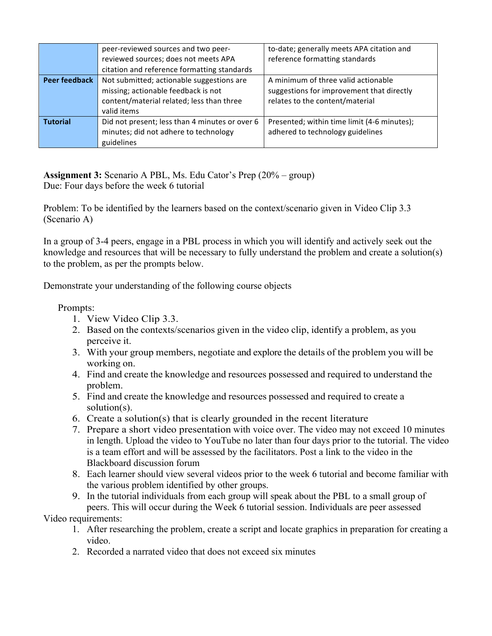|                      | peer-reviewed sources and two peer-<br>reviewed sources; does not meets APA<br>citation and reference formatting standards                   | to-date; generally meets APA citation and<br>reference formatting standards                                         |
|----------------------|----------------------------------------------------------------------------------------------------------------------------------------------|---------------------------------------------------------------------------------------------------------------------|
| <b>Peer feedback</b> | Not submitted; actionable suggestions are<br>missing; actionable feedback is not<br>content/material related; less than three<br>valid items | A minimum of three valid actionable<br>suggestions for improvement that directly<br>relates to the content/material |
| <b>Tutorial</b>      | Did not present; less than 4 minutes or over 6<br>minutes; did not adhere to technology<br>guidelines                                        | Presented; within time limit (4-6 minutes);<br>adhered to technology guidelines                                     |

**Assignment 3:** Scenario A PBL, Ms. Edu Cator's Prep (20% – group) Due: Four days before the week 6 tutorial

Problem: To be identified by the learners based on the context/scenario given in Video Clip 3.3 (Scenario A)

In a group of 3-4 peers, engage in a PBL process in which you will identify and actively seek out the knowledge and resources that will be necessary to fully understand the problem and create a solution(s) to the problem, as per the prompts below.

Demonstrate your understanding of the following course objects

### Prompts:

- 1. View Video Clip 3.3.
- 2. Based on the contexts/scenarios given in the video clip, identify a problem, as you perceive it.
- 3. With your group members, negotiate and explore the details of the problem you will be working on.
- 4. Find and create the knowledge and resources possessed and required to understand the problem.
- 5. Find and create the knowledge and resources possessed and required to create a solution(s).
- 6. Create a solution(s) that is clearly grounded in the recent literature
- 7. Prepare a short video presentation with voice over. The video may not exceed 10 minutes in length. Upload the video to YouTube no later than four days prior to the tutorial. The video is a team effort and will be assessed by the facilitators. Post a link to the video in the Blackboard discussion forum
- 8. Each learner should view several videos prior to the week 6 tutorial and become familiar with the various problem identified by other groups.
- 9. In the tutorial individuals from each group will speak about the PBL to a small group of peers. This will occur during the Week 6 tutorial session. Individuals are peer assessed

# Video requirements:

- 1. After researching the problem, create a script and locate graphics in preparation for creating a video.
- 2. Recorded a narrated video that does not exceed six minutes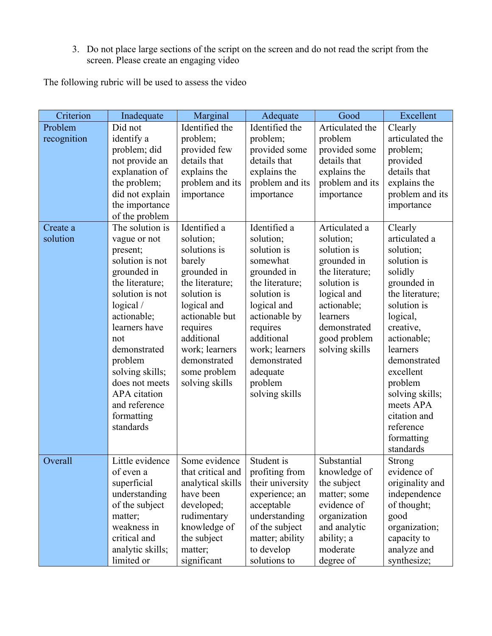3. Do not place large sections of the script on the screen and do not read the script from the screen. Please create an engaging video

The following rubric will be used to assess the video

| Criterion              | Inadequate                                                                                                                                                                                                                                                                                         | Marginal                                                                                                                                                                                                                            | Adequate                                                                                                                                                                                                                                   | Good                                                                                                                                                                                   | Excellent                                                                                                                                                                                                                                                                                            |
|------------------------|----------------------------------------------------------------------------------------------------------------------------------------------------------------------------------------------------------------------------------------------------------------------------------------------------|-------------------------------------------------------------------------------------------------------------------------------------------------------------------------------------------------------------------------------------|--------------------------------------------------------------------------------------------------------------------------------------------------------------------------------------------------------------------------------------------|----------------------------------------------------------------------------------------------------------------------------------------------------------------------------------------|------------------------------------------------------------------------------------------------------------------------------------------------------------------------------------------------------------------------------------------------------------------------------------------------------|
| Problem<br>recognition | Did not<br>identify a<br>problem; did<br>not provide an<br>explanation of<br>the problem;<br>did not explain<br>the importance<br>of the problem                                                                                                                                                   | Identified the<br>problem;<br>provided few<br>details that<br>explains the<br>problem and its<br>importance                                                                                                                         | Identified the<br>problem;<br>provided some<br>details that<br>explains the<br>problem and its<br>importance                                                                                                                               | Articulated the<br>problem<br>provided some<br>details that<br>explains the<br>problem and its<br>importance                                                                           | Clearly<br>articulated the<br>problem;<br>provided<br>details that<br>explains the<br>problem and its<br>importance                                                                                                                                                                                  |
| Create a<br>solution   | The solution is<br>vague or not<br>present;<br>solution is not<br>grounded in<br>the literature;<br>solution is not<br>logical/<br>actionable;<br>learners have<br>not<br>demonstrated<br>problem<br>solving skills;<br>does not meets<br>APA citation<br>and reference<br>formatting<br>standards | Identified a<br>solution;<br>solutions is<br>barely<br>grounded in<br>the literature;<br>solution is<br>logical and<br>actionable but<br>requires<br>additional<br>work; learners<br>demonstrated<br>some problem<br>solving skills | Identified a<br>solution;<br>solution is<br>somewhat<br>grounded in<br>the literature;<br>solution is<br>logical and<br>actionable by<br>requires<br>additional<br>work; learners<br>demonstrated<br>adequate<br>problem<br>solving skills | Articulated a<br>solution;<br>solution is<br>grounded in<br>the literature;<br>solution is<br>logical and<br>actionable;<br>learners<br>demonstrated<br>good problem<br>solving skills | Clearly<br>articulated a<br>solution;<br>solution is<br>solidly<br>grounded in<br>the literature;<br>solution is<br>logical,<br>creative,<br>actionable;<br>learners<br>demonstrated<br>excellent<br>problem<br>solving skills;<br>meets APA<br>citation and<br>reference<br>formatting<br>standards |
| Overall                | Little evidence<br>of even a<br>superficial<br>understanding<br>of the subject<br>matter;<br>weakness in<br>critical and<br>analytic skills;<br>limited or                                                                                                                                         | Some evidence<br>that critical and<br>analytical skills<br>have been<br>developed;<br>rudimentary<br>knowledge of<br>the subject<br>matter;<br>significant                                                                          | Student is<br>profiting from<br>their university<br>experience; an<br>acceptable<br>understanding<br>of the subject<br>matter; ability<br>to develop<br>solutions to                                                                       | Substantial<br>knowledge of<br>the subject<br>matter; some<br>evidence of<br>organization<br>and analytic<br>ability; a<br>moderate<br>degree of                                       | <b>Strong</b><br>evidence of<br>originality and<br>independence<br>of thought;<br>good<br>organization;<br>capacity to<br>analyze and<br>synthesize;                                                                                                                                                 |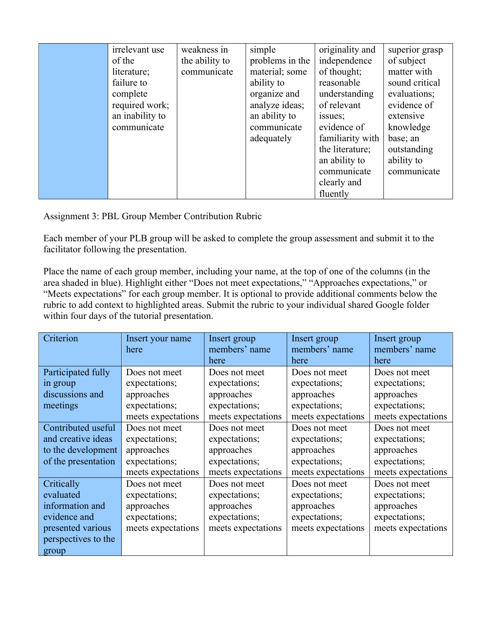| irrelevant use  | weakness in    | simple          | originality and  | superior grasp |
|-----------------|----------------|-----------------|------------------|----------------|
| of the          | the ability to | problems in the | independence     | of subject     |
| literature;     | communicate    | material; some  | of thought;      | matter with    |
| failure to      |                | ability to      | reasonable       | sound critical |
| complete        |                | organize and    | understanding    | evaluations;   |
| required work;  |                | analyze ideas;  | of relevant      | evidence of    |
| an inability to |                | an ability to   | issues;          | extensive      |
| communicate     |                | communicate     | evidence of      | knowledge      |
|                 |                | adequately      | familiarity with | base; an       |
|                 |                |                 | the literature;  | outstanding    |
|                 |                |                 | an ability to    | ability to     |
|                 |                |                 | communicate      | communicate    |
|                 |                |                 | clearly and      |                |
|                 |                |                 | fluently         |                |

Assignment 3: PBL Group Member Contribution Rubric

Each member of your PLB group will be asked to complete the group assessment and submit it to the facilitator following the presentation.

Place the name of each group member, including your name, at the top of one of the columns (in the area shaded in blue). Highlight either "Does not meet expectations," "Approaches expectations," or "Meets expectations" for each group member. It is optional to provide additional comments below the rubric to add context to highlighted areas. Submit the rubric to your individual shared Google folder within four days of the tutorial presentation.

| Criterion           | Insert your name   | Insert group       | Insert group       | Insert group       |
|---------------------|--------------------|--------------------|--------------------|--------------------|
|                     | here               | members' name      | members' name      | members' name      |
|                     |                    | here               | here               | here               |
| Participated fully  | Does not meet      | Does not meet      | Does not meet      | Does not meet      |
| in group            | expectations;      | expectations;      | expectations;      | expectations;      |
| discussions and     | approaches         | approaches         | approaches         | approaches         |
| meetings            | expectations;      | expectations;      | expectations;      | expectations;      |
|                     | meets expectations | meets expectations | meets expectations | meets expectations |
| Contributed useful  | Does not meet      | Does not meet      | Does not meet      | Does not meet      |
| and creative ideas  | expectations;      | expectations;      | expectations;      | expectations;      |
| to the development  | approaches         | approaches         | approaches         | approaches         |
| of the presentation | expectations;      | expectations;      | expectations;      | expectations;      |
|                     | meets expectations | meets expectations | meets expectations | meets expectations |
| Critically          | Does not meet      | Does not meet      | Does not meet      | Does not meet      |
| evaluated           | expectations;      | expectations;      | expectations;      | expectations;      |
| information and     | approaches         | approaches         | approaches         | approaches         |
| evidence and        | expectations;      | expectations;      | expectations;      | expectations;      |
| presented various   | meets expectations | meets expectations | meets expectations | meets expectations |
| perspectives to the |                    |                    |                    |                    |
| group               |                    |                    |                    |                    |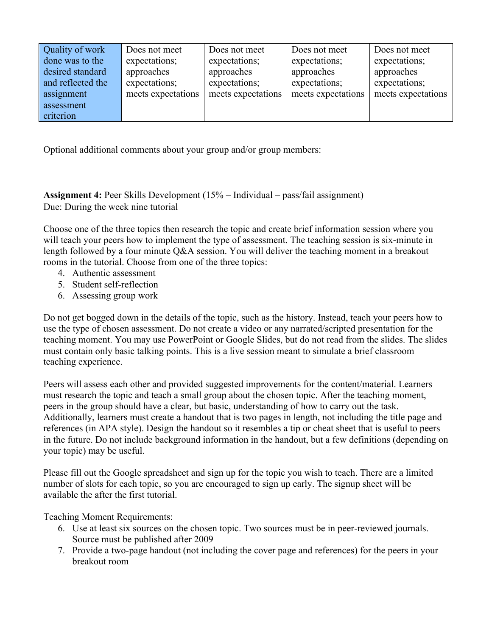| Quality of work   | Does not meet      | Does not meet      | Does not meet      | Does not meet      |
|-------------------|--------------------|--------------------|--------------------|--------------------|
| done was to the   | expectations;      | expectations;      | expectations;      | expectations;      |
| desired standard  | approaches         | approaches         | approaches         | approaches         |
| and reflected the | expectations;      | expectations;      | expectations;      | expectations;      |
| assignment        | meets expectations | meets expectations | meets expectations | meets expectations |
| assessment        |                    |                    |                    |                    |
| criterion         |                    |                    |                    |                    |

Optional additional comments about your group and/or group members:

**Assignment 4:** Peer Skills Development (15% – Individual – pass/fail assignment) Due: During the week nine tutorial

Choose one of the three topics then research the topic and create brief information session where you will teach your peers how to implement the type of assessment. The teaching session is six-minute in length followed by a four minute Q&A session. You will deliver the teaching moment in a breakout rooms in the tutorial. Choose from one of the three topics:

- 4. Authentic assessment
- 5. Student self-reflection
- 6. Assessing group work

Do not get bogged down in the details of the topic, such as the history. Instead, teach your peers how to use the type of chosen assessment. Do not create a video or any narrated/scripted presentation for the teaching moment. You may use PowerPoint or Google Slides, but do not read from the slides. The slides must contain only basic talking points. This is a live session meant to simulate a brief classroom teaching experience.

Peers will assess each other and provided suggested improvements for the content/material. Learners must research the topic and teach a small group about the chosen topic. After the teaching moment, peers in the group should have a clear, but basic, understanding of how to carry out the task. Additionally, learners must create a handout that is two pages in length, not including the title page and references (in APA style). Design the handout so it resembles a tip or cheat sheet that is useful to peers in the future. Do not include background information in the handout, but a few definitions (depending on your topic) may be useful.

Please fill out the Google spreadsheet and sign up for the topic you wish to teach. There are a limited number of slots for each topic, so you are encouraged to sign up early. The signup sheet will be available the after the first tutorial.

Teaching Moment Requirements:

- 6. Use at least six sources on the chosen topic. Two sources must be in peer-reviewed journals. Source must be published after 2009
- 7. Provide a two-page handout (not including the cover page and references) for the peers in your breakout room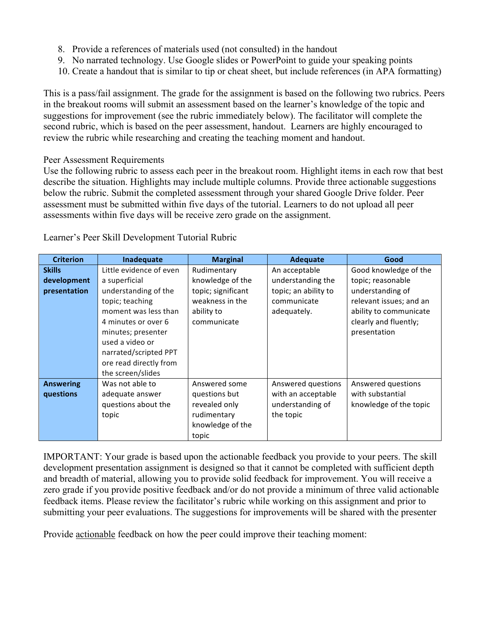- 8. Provide a references of materials used (not consulted) in the handout
- 9. No narrated technology. Use Google slides or PowerPoint to guide your speaking points
- 10. Create a handout that is similar to tip or cheat sheet, but include references (in APA formatting)

This is a pass/fail assignment. The grade for the assignment is based on the following two rubrics. Peers in the breakout rooms will submit an assessment based on the learner's knowledge of the topic and suggestions for improvement (see the rubric immediately below). The facilitator will complete the second rubric, which is based on the peer assessment, handout. Learners are highly encouraged to review the rubric while researching and creating the teaching moment and handout.

#### Peer Assessment Requirements

Use the following rubric to assess each peer in the breakout room. Highlight items in each row that best describe the situation. Highlights may include multiple columns. Provide three actionable suggestions below the rubric. Submit the completed assessment through your shared Google Drive folder. Peer assessment must be submitted within five days of the tutorial. Learners to do not upload all peer assessments within five days will be receive zero grade on the assignment.

| <b>Criterion</b> | Inadequate              | <b>Marginal</b>    | <b>Adequate</b>      | Good                    |
|------------------|-------------------------|--------------------|----------------------|-------------------------|
| <b>Skills</b>    | Little evidence of even | Rudimentary        | An acceptable        | Good knowledge of the   |
| development      | a superficial           | knowledge of the   | understanding the    | topic; reasonable       |
| presentation     | understanding of the    | topic; significant | topic; an ability to | understanding of        |
|                  | topic; teaching         | weakness in the    | communicate          | relevant issues; and an |
|                  | moment was less than    | ability to         | adequately.          | ability to communicate  |
|                  | 4 minutes or over 6     | communicate        |                      | clearly and fluently;   |
|                  | minutes; presenter      |                    |                      | presentation            |
|                  | used a video or         |                    |                      |                         |
|                  | narrated/scripted PPT   |                    |                      |                         |
|                  | ore read directly from  |                    |                      |                         |
|                  | the screen/slides       |                    |                      |                         |
| <b>Answering</b> | Was not able to         | Answered some      | Answered questions   | Answered questions      |
| questions        | adequate answer         | questions but      | with an acceptable   | with substantial        |
|                  | questions about the     | revealed only      | understanding of     | knowledge of the topic  |
|                  | topic                   | rudimentary        | the topic            |                         |
|                  |                         | knowledge of the   |                      |                         |
|                  |                         | topic              |                      |                         |

Learner's Peer Skill Development Tutorial Rubric

IMPORTANT: Your grade is based upon the actionable feedback you provide to your peers. The skill development presentation assignment is designed so that it cannot be completed with sufficient depth and breadth of material, allowing you to provide solid feedback for improvement. You will receive a zero grade if you provide positive feedback and/or do not provide a minimum of three valid actionable feedback items. Please review the facilitator's rubric while working on this assignment and prior to submitting your peer evaluations. The suggestions for improvements will be shared with the presenter

Provide actionable feedback on how the peer could improve their teaching moment: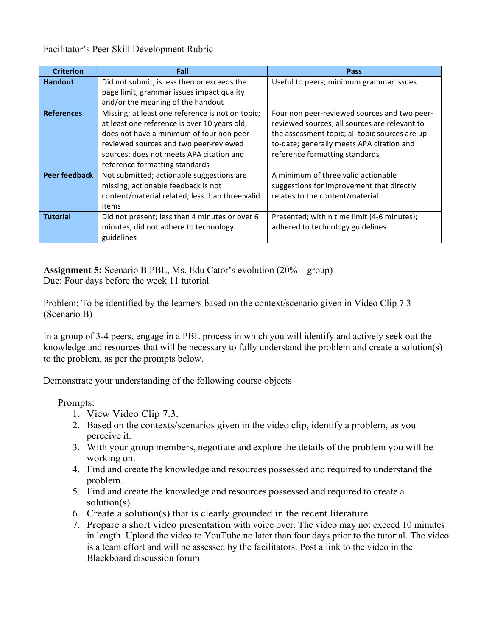Facilitator's Peer Skill Development Rubric

| <b>Criterion</b>     | Fail                                             | Pass                                            |
|----------------------|--------------------------------------------------|-------------------------------------------------|
| <b>Handout</b>       | Did not submit; is less then or exceeds the      | Useful to peers; minimum grammar issues         |
|                      | page limit; grammar issues impact quality        |                                                 |
|                      | and/or the meaning of the handout                |                                                 |
| <b>References</b>    | Missing; at least one reference is not on topic; | Four non peer-reviewed sources and two peer-    |
|                      | at least one reference is over 10 years old;     | reviewed sources; all sources are relevant to   |
|                      | does not have a minimum of four non peer-        | the assessment topic; all topic sources are up- |
|                      | reviewed sources and two peer-reviewed           | to-date; generally meets APA citation and       |
|                      | sources; does not meets APA citation and         | reference formatting standards                  |
|                      | reference formatting standards                   |                                                 |
| <b>Peer feedback</b> | Not submitted; actionable suggestions are        | A minimum of three valid actionable             |
|                      | missing; actionable feedback is not              | suggestions for improvement that directly       |
|                      | content/material related; less than three valid  | relates to the content/material                 |
|                      | items                                            |                                                 |
| <b>Tutorial</b>      | Did not present; less than 4 minutes or over 6   | Presented; within time limit (4-6 minutes);     |
|                      | minutes; did not adhere to technology            | adhered to technology guidelines                |
|                      | guidelines                                       |                                                 |

**Assignment 5:** Scenario B PBL, Ms. Edu Cator's evolution (20% – group) Due: Four days before the week 11 tutorial

Problem: To be identified by the learners based on the context/scenario given in Video Clip 7.3 (Scenario B)

In a group of 3-4 peers, engage in a PBL process in which you will identify and actively seek out the knowledge and resources that will be necessary to fully understand the problem and create a solution(s) to the problem, as per the prompts below.

Demonstrate your understanding of the following course objects

Prompts:

- 1. View Video Clip 7.3.
- 2. Based on the contexts/scenarios given in the video clip, identify a problem, as you perceive it.
- 3. With your group members, negotiate and explore the details of the problem you will be working on.
- 4. Find and create the knowledge and resources possessed and required to understand the problem.
- 5. Find and create the knowledge and resources possessed and required to create a solution(s).
- 6. Create a solution(s) that is clearly grounded in the recent literature
- 7. Prepare a short video presentation with voice over. The video may not exceed 10 minutes in length. Upload the video to YouTube no later than four days prior to the tutorial. The video is a team effort and will be assessed by the facilitators. Post a link to the video in the Blackboard discussion forum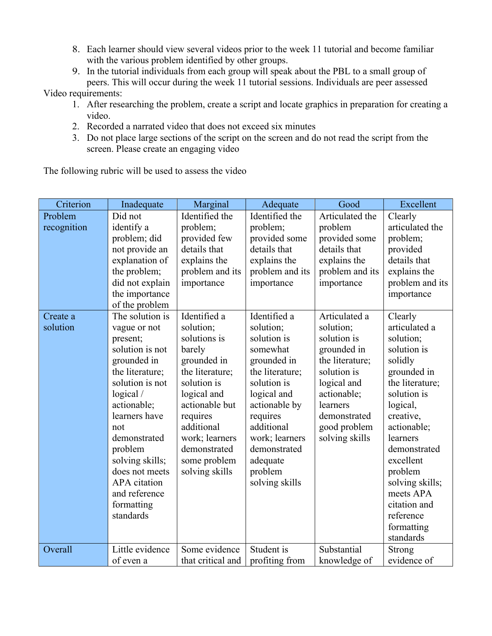- 8. Each learner should view several videos prior to the week 11 tutorial and become familiar with the various problem identified by other groups.
- 9. In the tutorial individuals from each group will speak about the PBL to a small group of peers. This will occur during the week 11 tutorial sessions. Individuals are peer assessed Video requirements:

1. After researching the problem, create a script and locate graphics in preparation for creating a video.

- 2. Recorded a narrated video that does not exceed six minutes
- 3. Do not place large sections of the script on the screen and do not read the script from the screen. Please create an engaging video

The following rubric will be used to assess the video

| Criterion   | Inadequate                         | Marginal                       | Adequate                       | Good                       | Excellent                      |
|-------------|------------------------------------|--------------------------------|--------------------------------|----------------------------|--------------------------------|
| Problem     | Did not                            | Identified the                 | Identified the                 | Articulated the            | Clearly                        |
| recognition | identify a                         | problem;                       | problem;                       | problem                    | articulated the                |
|             | problem; did                       | provided few                   | provided some                  | provided some              | problem;                       |
|             | not provide an                     | details that                   | details that                   | details that               | provided                       |
|             | explanation of                     | explains the                   | explains the                   | explains the               | details that                   |
|             | the problem;                       | problem and its                | problem and its                | problem and its            | explains the                   |
|             | did not explain                    | importance                     | importance                     | importance                 | problem and its                |
|             | the importance                     |                                |                                |                            | importance                     |
|             | of the problem                     |                                |                                |                            |                                |
| Create a    | The solution is                    | Identified a                   | Identified a                   | Articulated a              | Clearly                        |
| solution    | vague or not                       | solution;                      | solution;                      | solution;                  | articulated a                  |
|             | present;                           | solutions is                   | solution is                    | solution is                | solution;                      |
|             | solution is not                    | barely                         | somewhat                       | grounded in                | solution is                    |
|             | grounded in                        | grounded in                    | grounded in                    | the literature;            | solidly                        |
|             | the literature;<br>solution is not | the literature;<br>solution is | the literature;<br>solution is | solution is                | grounded in                    |
|             |                                    |                                |                                | logical and<br>actionable; | the literature;<br>solution is |
|             | logical/<br>actionable;            | logical and<br>actionable but  | logical and<br>actionable by   | learners                   | logical,                       |
|             | learners have                      | requires                       | requires                       | demonstrated               | creative,                      |
|             | not                                | additional                     | additional                     | good problem               | actionable;                    |
|             | demonstrated                       | work; learners                 | work; learners                 | solving skills             | learners                       |
|             | problem                            | demonstrated                   | demonstrated                   |                            | demonstrated                   |
|             | solving skills;                    | some problem                   | adequate                       |                            | excellent                      |
|             | does not meets                     | solving skills                 | problem                        |                            | problem                        |
|             | APA citation                       |                                | solving skills                 |                            | solving skills;                |
|             | and reference                      |                                |                                |                            | meets APA                      |
|             | formatting                         |                                |                                |                            | citation and                   |
|             | standards                          |                                |                                |                            | reference                      |
|             |                                    |                                |                                |                            | formatting                     |
|             |                                    |                                |                                |                            | standards                      |
| Overall     | Little evidence                    | Some evidence                  | Student is                     | Substantial                | Strong                         |
|             | of even a                          | that critical and              | profiting from                 | knowledge of               | evidence of                    |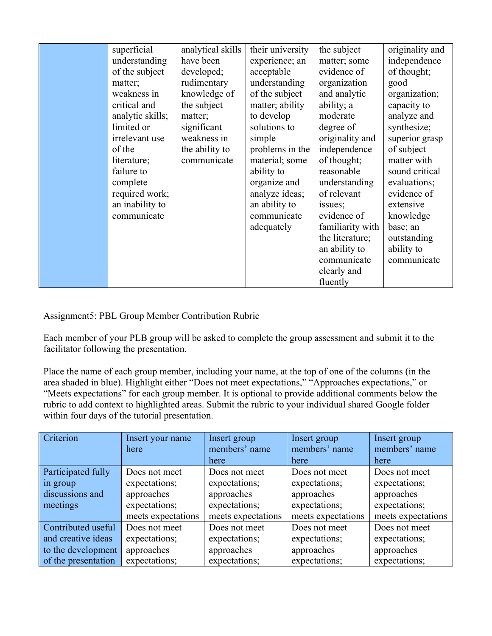| superficial<br>understanding<br>of the subject<br>matter;<br>weakness in<br>critical and<br>analytic skills;<br>limited or<br>irrelevant use<br>of the<br>literature;<br>failure to<br>complete<br>required work;<br>an inability to<br>communicate | analytical skills<br>have been<br>developed;<br>rudimentary<br>knowledge of<br>the subject<br>matter;<br>significant<br>weakness in<br>the ability to<br>communicate | their university<br>experience; an<br>acceptable<br>understanding<br>of the subject<br>matter; ability<br>to develop<br>solutions to<br>simple<br>problems in the<br>material; some<br>ability to<br>organize and<br>analyze ideas;<br>an ability to<br>communicate<br>adequately | the subject<br>matter; some<br>evidence of<br>organization<br>and analytic<br>ability; a<br>moderate<br>degree of<br>originality and<br>independence<br>of thought;<br>reasonable<br>understanding<br>of relevant<br>issues;<br>evidence of<br>familiarity with<br>the literature;<br>an ability to<br>communicate<br>clearly and<br>fluently | originality and<br>independence<br>of thought;<br>good<br>organization;<br>capacity to<br>analyze and<br>synthesize;<br>superior grasp<br>of subject<br>matter with<br>sound critical<br>evaluations;<br>evidence of<br>extensive<br>knowledge<br>base; an<br>outstanding<br>ability to<br>communicate |
|-----------------------------------------------------------------------------------------------------------------------------------------------------------------------------------------------------------------------------------------------------|----------------------------------------------------------------------------------------------------------------------------------------------------------------------|-----------------------------------------------------------------------------------------------------------------------------------------------------------------------------------------------------------------------------------------------------------------------------------|-----------------------------------------------------------------------------------------------------------------------------------------------------------------------------------------------------------------------------------------------------------------------------------------------------------------------------------------------|--------------------------------------------------------------------------------------------------------------------------------------------------------------------------------------------------------------------------------------------------------------------------------------------------------|
|-----------------------------------------------------------------------------------------------------------------------------------------------------------------------------------------------------------------------------------------------------|----------------------------------------------------------------------------------------------------------------------------------------------------------------------|-----------------------------------------------------------------------------------------------------------------------------------------------------------------------------------------------------------------------------------------------------------------------------------|-----------------------------------------------------------------------------------------------------------------------------------------------------------------------------------------------------------------------------------------------------------------------------------------------------------------------------------------------|--------------------------------------------------------------------------------------------------------------------------------------------------------------------------------------------------------------------------------------------------------------------------------------------------------|

Assignment5: PBL Group Member Contribution Rubric

Each member of your PLB group will be asked to complete the group assessment and submit it to the facilitator following the presentation.

Place the name of each group member, including your name, at the top of one of the columns (in the area shaded in blue). Highlight either "Does not meet expectations," "Approaches expectations," or "Meets expectations" for each group member. It is optional to provide additional comments below the rubric to add context to highlighted areas. Submit the rubric to your individual shared Google folder within four days of the tutorial presentation.

| Criterion           | Insert your name   | Insert group       | Insert group       | Insert group       |
|---------------------|--------------------|--------------------|--------------------|--------------------|
|                     | here               | members' name      | members' name      | members' name      |
|                     |                    | here               | here               | here               |
| Participated fully  | Does not meet      | Does not meet      | Does not meet      | Does not meet      |
| in group            | expectations;      | expectations;      | expectations;      | expectations;      |
| discussions and     | approaches         | approaches         | approaches         | approaches         |
| meetings            | expectations;      | expectations;      | expectations;      | expectations;      |
|                     | meets expectations | meets expectations | meets expectations | meets expectations |
| Contributed useful  | Does not meet      | Does not meet      | Does not meet      | Does not meet      |
| and creative ideas  | expectations;      | expectations;      | expectations;      | expectations;      |
| to the development  | approaches         | approaches         | approaches         | approaches         |
| of the presentation | expectations;      | expectations;      | expectations;      | expectations;      |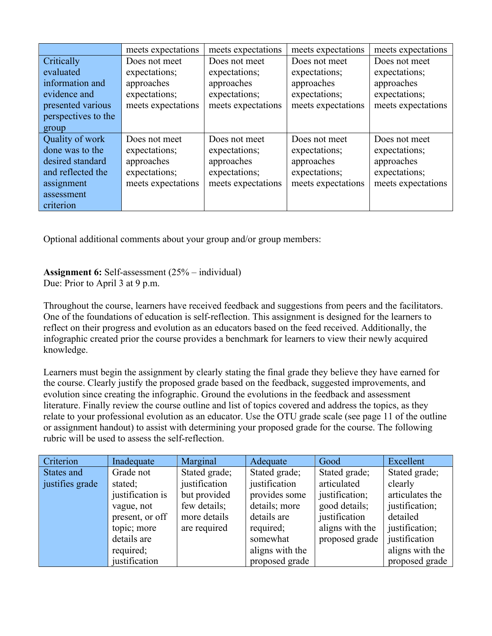|                     | meets expectations | meets expectations | meets expectations | meets expectations |
|---------------------|--------------------|--------------------|--------------------|--------------------|
| Critically          | Does not meet      | Does not meet      | Does not meet      | Does not meet      |
| evaluated           | expectations;      | expectations;      | expectations;      | expectations;      |
| information and     | approaches         | approaches         | approaches         | approaches         |
| evidence and        | expectations;      | expectations;      | expectations;      | expectations;      |
| presented various   | meets expectations | meets expectations | meets expectations | meets expectations |
| perspectives to the |                    |                    |                    |                    |
| group               |                    |                    |                    |                    |
| Quality of work     | Does not meet      | Does not meet      | Does not meet      | Does not meet      |
| done was to the     | expectations;      | expectations;      | expectations;      | expectations;      |
| desired standard    | approaches         | approaches         | approaches         | approaches         |
| and reflected the   | expectations;      | expectations;      | expectations;      | expectations;      |
| assignment          | meets expectations | meets expectations | meets expectations | meets expectations |
| assessment          |                    |                    |                    |                    |
| criterion           |                    |                    |                    |                    |

Optional additional comments about your group and/or group members:

#### **Assignment 6:** Self-assessment (25% – individual) Due: Prior to April 3 at 9 p.m.

Throughout the course, learners have received feedback and suggestions from peers and the facilitators. One of the foundations of education is self-reflection. This assignment is designed for the learners to reflect on their progress and evolution as an educators based on the feed received. Additionally, the infographic created prior the course provides a benchmark for learners to view their newly acquired knowledge.

Learners must begin the assignment by clearly stating the final grade they believe they have earned for the course. Clearly justify the proposed grade based on the feedback, suggested improvements, and evolution since creating the infographic. Ground the evolutions in the feedback and assessment literature. Finally review the course outline and list of topics covered and address the topics, as they relate to your professional evolution as an educator. Use the OTU grade scale (see page 11 of the outline or assignment handout) to assist with determining your proposed grade for the course. The following rubric will be used to assess the self-reflection.

| Criterion       | Inadequate       | Marginal      | Adequate        | Good            | Excellent       |
|-----------------|------------------|---------------|-----------------|-----------------|-----------------|
| States and      | Grade not        | Stated grade; | Stated grade;   | Stated grade;   | Stated grade;   |
| justifies grade | stated;          | justification | justification   | articulated     | clearly         |
|                 | justification is | but provided  | provides some   | justification;  | articulates the |
|                 | vague, not       | few details;  | details; more   | good details;   | justification;  |
|                 | present, or off  | more details  | details are     | justification   | detailed        |
|                 | topic; more      | are required  | required;       | aligns with the | justification;  |
|                 | details are      |               | somewhat        | proposed grade  | justification   |
|                 | required;        |               | aligns with the |                 | aligns with the |
|                 | justification    |               | proposed grade  |                 | proposed grade  |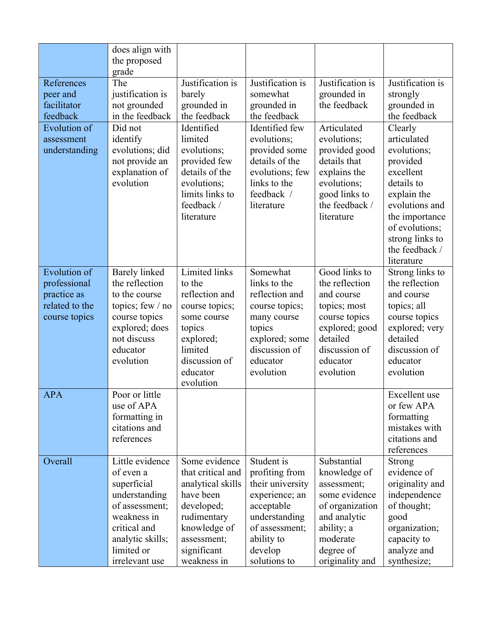|                                                                                       | does align with<br>the proposed<br>grade                                                                                                                          |                                                                                                                                                                |                                                                                                                                                              |                                                                                                                                                          |                                                                                                                                                                                                      |
|---------------------------------------------------------------------------------------|-------------------------------------------------------------------------------------------------------------------------------------------------------------------|----------------------------------------------------------------------------------------------------------------------------------------------------------------|--------------------------------------------------------------------------------------------------------------------------------------------------------------|----------------------------------------------------------------------------------------------------------------------------------------------------------|------------------------------------------------------------------------------------------------------------------------------------------------------------------------------------------------------|
| References<br>peer and<br>facilitator<br>feedback                                     | The<br>justification is<br>not grounded<br>in the feedback                                                                                                        | Justification is<br>barely<br>grounded in<br>the feedback                                                                                                      | Justification is<br>somewhat<br>grounded in<br>the feedback                                                                                                  | Justification is<br>grounded in<br>the feedback                                                                                                          | Justification is<br>strongly<br>grounded in<br>the feedback                                                                                                                                          |
| <b>Evolution</b> of<br>assessment<br>understanding                                    | Did not<br>identify<br>evolutions; did<br>not provide an<br>explanation of<br>evolution                                                                           | Identified<br>limited<br>evolutions;<br>provided few<br>details of the<br>evolutions;<br>limits links to<br>feedback /<br>literature                           | Identified few<br>evolutions;<br>provided some<br>details of the<br>evolutions; few<br>links to the<br>feedback /<br>literature                              | Articulated<br>evolutions;<br>provided good<br>details that<br>explains the<br>evolutions;<br>good links to<br>the feedback /<br>literature              | Clearly<br>articulated<br>evolutions;<br>provided<br>excellent<br>details to<br>explain the<br>evolutions and<br>the importance<br>of evolutions;<br>strong links to<br>the feedback /<br>literature |
| <b>Evolution of</b><br>professional<br>practice as<br>related to the<br>course topics | <b>Barely</b> linked<br>the reflection<br>to the course<br>topics; few $/$ no<br>course topics<br>explored; does<br>not discuss<br>educator<br>evolution          | Limited links<br>to the<br>reflection and<br>course topics;<br>some course<br>topics<br>explored;<br>limited<br>discussion of<br>educator<br>evolution         | Somewhat<br>links to the<br>reflection and<br>course topics;<br>many course<br>topics<br>explored; some<br>discussion of<br>educator<br>evolution            | Good links to<br>the reflection<br>and course<br>topics; most<br>course topics<br>explored; good<br>detailed<br>discussion of<br>educator<br>evolution   | Strong links to<br>the reflection<br>and course<br>topics; all<br>course topics<br>explored; very<br>detailed<br>discussion of<br>educator<br>evolution                                              |
| <b>APA</b>                                                                            | Poor or little<br>use of APA<br>formatting in<br>citations and<br>references                                                                                      |                                                                                                                                                                |                                                                                                                                                              |                                                                                                                                                          | Excellent use<br>or few APA<br>formatting<br>mistakes with<br>citations and<br>references                                                                                                            |
| Overall                                                                               | Little evidence<br>of even a<br>superficial<br>understanding<br>of assessment;<br>weakness in<br>critical and<br>analytic skills;<br>limited or<br>irrelevant use | Some evidence<br>that critical and<br>analytical skills<br>have been<br>developed;<br>rudimentary<br>knowledge of<br>assessment;<br>significant<br>weakness in | Student is<br>profiting from<br>their university<br>experience; an<br>acceptable<br>understanding<br>of assessment;<br>ability to<br>develop<br>solutions to | Substantial<br>knowledge of<br>assessment;<br>some evidence<br>of organization<br>and analytic<br>ability; a<br>moderate<br>degree of<br>originality and | Strong<br>evidence of<br>originality and<br>independence<br>of thought;<br>good<br>organization;<br>capacity to<br>analyze and<br>synthesize;                                                        |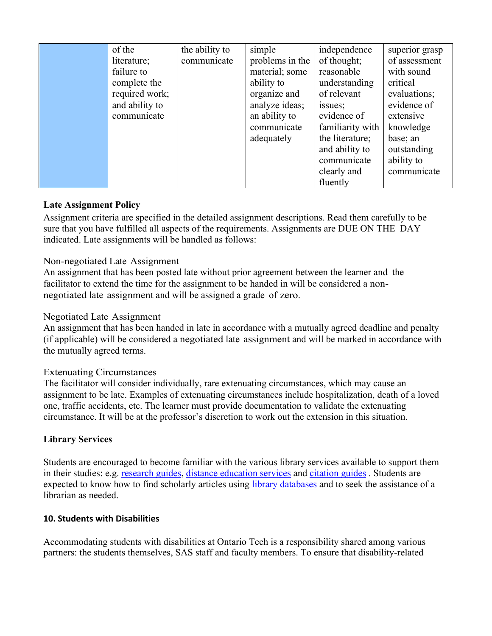| of the         | the ability to | simple          | independence     | superior grasp |
|----------------|----------------|-----------------|------------------|----------------|
| literature;    | communicate    | problems in the | of thought;      | of assessment  |
| failure to     |                | material; some  | reasonable       | with sound     |
| complete the   |                | ability to      | understanding    | critical       |
| required work; |                | organize and    | of relevant      | evaluations;   |
| and ability to |                | analyze ideas;  | issues;          | evidence of    |
| communicate    |                | an ability to   | evidence of      | extensive      |
|                |                | communicate     | familiarity with | knowledge      |
|                |                | adequately      | the literature;  | base; an       |
|                |                |                 | and ability to   | outstanding    |
|                |                |                 | communicate      | ability to     |
|                |                |                 | clearly and      | communicate    |
|                |                |                 | fluently         |                |

# **Late Assignment Policy**

Assignment criteria are specified in the detailed assignment descriptions. Read them carefully to be sure that you have fulfilled all aspects of the requirements. Assignments are DUE ON THE DAY indicated. Late assignments will be handled as follows:

# Non-negotiated Late Assignment

An assignment that has been posted late without prior agreement between the learner and the facilitator to extend the time for the assignment to be handed in will be considered a nonnegotiated late assignment and will be assigned a grade of zero.

## Negotiated Late Assignment

An assignment that has been handed in late in accordance with a mutually agreed deadline and penalty (if applicable) will be considered a negotiated late assignment and will be marked in accordance with the mutually agreed terms.

#### Extenuating Circumstances

The facilitator will consider individually, rare extenuating circumstances, which may cause an assignment to be late. Examples of extenuating circumstances include hospitalization, death of a loved one, traffic accidents, etc. The learner must provide documentation to validate the extenuating circumstance. It will be at the professor's discretion to work out the extension in this situation.

# **Library Services**

Students are encouraged to become familiar with the various library services available to support them in their studies: e.g. research guides, distance education services and citation guides . Students are expected to know how to find scholarly articles using library databases and to seek the assistance of a librarian as needed.

#### **10. Students with Disabilities**

Accommodating students with disabilities at Ontario Tech is a responsibility shared among various partners: the students themselves, SAS staff and faculty members. To ensure that disability-related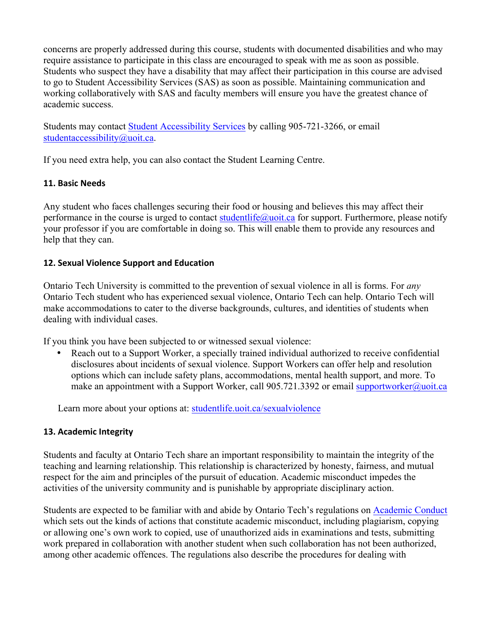concerns are properly addressed during this course, students with documented disabilities and who may require assistance to participate in this class are encouraged to speak with me as soon as possible. Students who suspect they have a disability that may affect their participation in this course are advised to go to Student Accessibility Services (SAS) as soon as possible. Maintaining communication and working collaboratively with SAS and faculty members will ensure you have the greatest chance of academic success.

Students may contact Student Accessibility Services by calling 905-721-3266, or email studentaccessibility@uoit.ca.

If you need extra help, you can also contact the Student Learning Centre.

# **11. Basic Needs**

Any student who faces challenges securing their food or housing and believes this may affect their performance in the course is urged to contact studentlife@uoit.ca for support. Furthermore, please notify your professor if you are comfortable in doing so. This will enable them to provide any resources and help that they can.

# **12. Sexual Violence Support and Education**

Ontario Tech University is committed to the prevention of sexual violence in all is forms. For *any*  Ontario Tech student who has experienced sexual violence, Ontario Tech can help. Ontario Tech will make accommodations to cater to the diverse backgrounds, cultures, and identities of students when dealing with individual cases.

If you think you have been subjected to or witnessed sexual violence:

• Reach out to a Support Worker, a specially trained individual authorized to receive confidential disclosures about incidents of sexual violence. Support Workers can offer help and resolution options which can include safety plans, accommodations, mental health support, and more. To make an appointment with a Support Worker, call 905.721.3392 or email supportworker@uoit.ca

Learn more about your options at: studentlife.uoit.ca/sexualviolence

# **13. Academic Integrity**

Students and faculty at Ontario Tech share an important responsibility to maintain the integrity of the teaching and learning relationship. This relationship is characterized by honesty, fairness, and mutual respect for the aim and principles of the pursuit of education. Academic misconduct impedes the activities of the university community and is punishable by appropriate disciplinary action.

Students are expected to be familiar with and abide by Ontario Tech's regulations on Academic Conduct which sets out the kinds of actions that constitute academic misconduct, including plagiarism, copying or allowing one's own work to copied, use of unauthorized aids in examinations and tests, submitting work prepared in collaboration with another student when such collaboration has not been authorized, among other academic offences. The regulations also describe the procedures for dealing with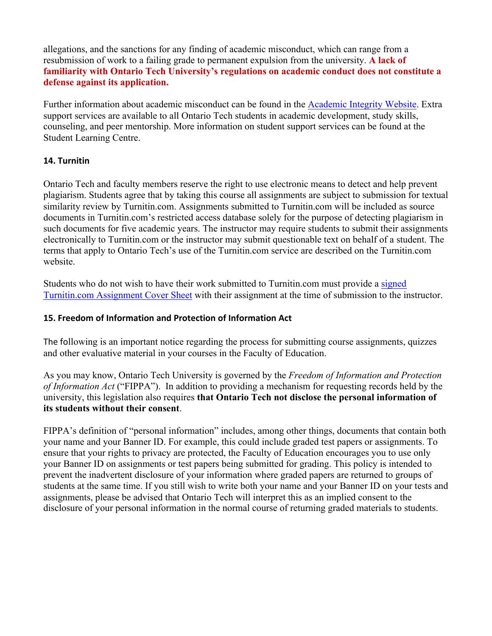allegations, and the sanctions for any finding of academic misconduct, which can range from a resubmission of work to a failing grade to permanent expulsion from the university. **A lack of familiarity with Ontario Tech University's regulations on academic conduct does not constitute a defense against its application.** 

Further information about academic misconduct can be found in the Academic Integrity Website. Extra support services are available to all Ontario Tech students in academic development, study skills, counseling, and peer mentorship. More information on student support services can be found at the Student Learning Centre.

# **14. Turnitin**

Ontario Tech and faculty members reserve the right to use electronic means to detect and help prevent plagiarism. Students agree that by taking this course all assignments are subject to submission for textual similarity review by Turnitin.com. Assignments submitted to Turnitin.com will be included as source documents in Turnitin.com's restricted access database solely for the purpose of detecting plagiarism in such documents for five academic years. The instructor may require students to submit their assignments electronically to Turnitin.com or the instructor may submit questionable text on behalf of a student. The terms that apply to Ontario Tech's use of the Turnitin.com service are described on the Turnitin.com website.

Students who do not wish to have their work submitted to Turnitin.com must provide a signed Turnitin.com Assignment Cover Sheet with their assignment at the time of submission to the instructor.

### **15. Freedom of Information and Protection of Information Act**

The following is an important notice regarding the process for submitting course assignments, quizzes and other evaluative material in your courses in the Faculty of Education.

As you may know, Ontario Tech University is governed by the *Freedom of Information and Protection of Information Act* ("FIPPA"). In addition to providing a mechanism for requesting records held by the university, this legislation also requires **that Ontario Tech not disclose the personal information of its students without their consent**.

FIPPA's definition of "personal information" includes, among other things, documents that contain both your name and your Banner ID. For example, this could include graded test papers or assignments. To ensure that your rights to privacy are protected, the Faculty of Education encourages you to use only your Banner ID on assignments or test papers being submitted for grading. This policy is intended to prevent the inadvertent disclosure of your information where graded papers are returned to groups of students at the same time. If you still wish to write both your name and your Banner ID on your tests and assignments, please be advised that Ontario Tech will interpret this as an implied consent to the disclosure of your personal information in the normal course of returning graded materials to students.